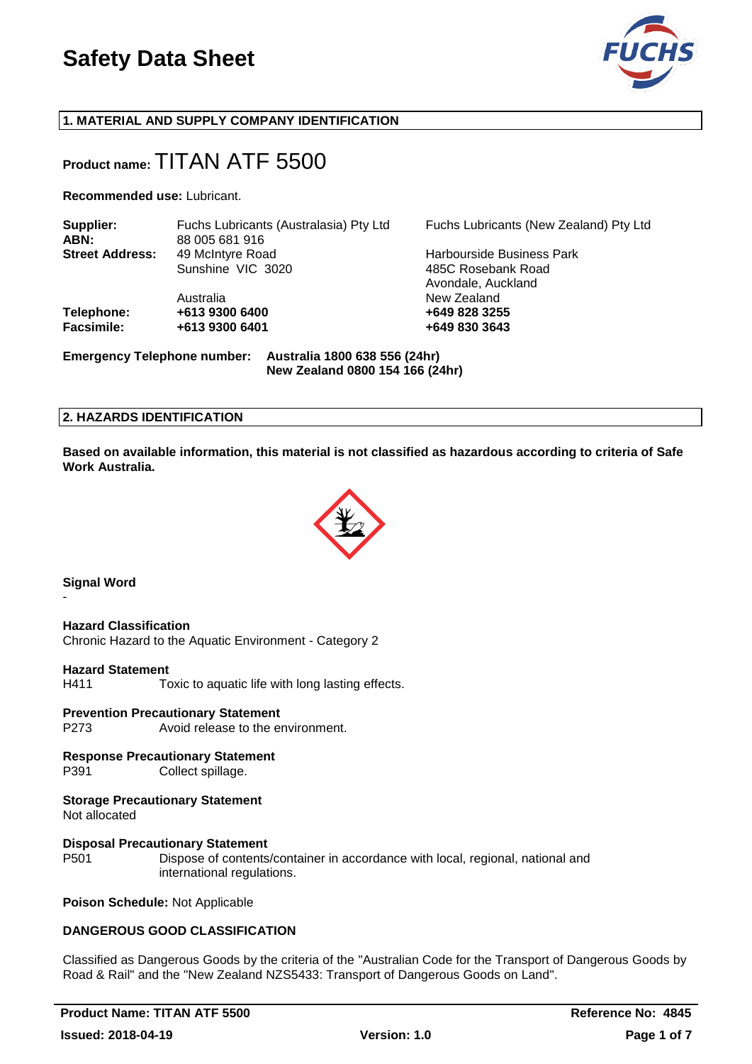

## **1. MATERIAL AND SUPPLY COMPANY IDENTIFICATION**

## **Product name:** TITAN ATF 5500

**Recommended use:** Lubricant.

| Supplier:              | Fuchs Lubricants (Australasia) Pty Ltd                    | Fuchs Lubricants (New Zealand) Pty Ltd |
|------------------------|-----------------------------------------------------------|----------------------------------------|
| ABN:                   | 88 005 681 916                                            |                                        |
| <b>Street Address:</b> | 49 McIntyre Road                                          | <b>Harbourside Business Park</b>       |
|                        | Sunshine VIC 3020                                         | 485C Rosebank Road                     |
|                        |                                                           | Avondale, Auckland                     |
|                        | Australia                                                 | New Zealand                            |
| Telephone:             | +613 9300 6400                                            | +649 828 3255                          |
| <b>Facsimile:</b>      | +613 9300 6401                                            | +649 830 3643                          |
|                        | Emergency Telephone number: Australia 1800 638 556 (24hr) |                                        |

**New Zealand 0800 154 166 (24hr)**

## **2. HAZARDS IDENTIFICATION**

**Based on available information, this material is not classified as hazardous according to criteria of Safe Work Australia.**



## **Signal Word**

-

**Hazard Classification**

Chronic Hazard to the Aquatic Environment - Category 2

#### **Hazard Statement**

H411 Toxic to aquatic life with long lasting effects.

#### **Prevention Precautionary Statement**

P273 Avoid release to the environment.

## **Response Precautionary Statement**

P391 Collect spillage.

#### **Storage Precautionary Statement**

Not allocated

#### **Disposal Precautionary Statement**

P501 Dispose of contents/container in accordance with local, regional, national and international regulations.

**Poison Schedule:** Not Applicable

#### **DANGEROUS GOOD CLASSIFICATION**

Classified as Dangerous Goods by the criteria of the "Australian Code for the Transport of Dangerous Goods by Road & Rail" and the "New Zealand NZS5433: Transport of Dangerous Goods on Land".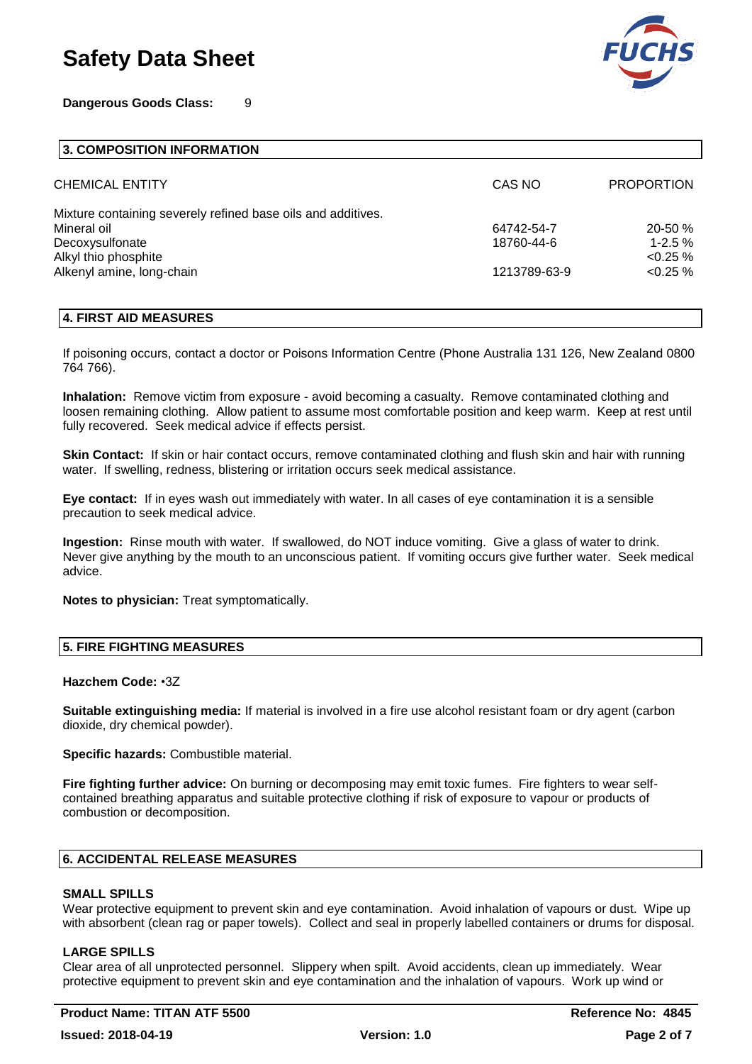**Dangerous Goods Class:** 9



#### **3. COMPOSITION INFORMATION**

| <b>CHEMICAL ENTITY</b>                                       | CAS NO       | <b>PROPORTION</b> |
|--------------------------------------------------------------|--------------|-------------------|
| Mixture containing severely refined base oils and additives. |              |                   |
| Mineral oil                                                  | 64742-54-7   | $20 - 50 %$       |
| Decoxysulfonate                                              | 18760-44-6   | $1 - 2.5 \%$      |
| Alkyl thio phosphite                                         |              | $< 0.25 \%$       |
| Alkenyl amine, long-chain                                    | 1213789-63-9 | $< 0.25 \%$       |
|                                                              |              |                   |

#### **4. FIRST AID MEASURES**

If poisoning occurs, contact a doctor or Poisons Information Centre (Phone Australia 131 126, New Zealand 0800 764 766).

**Inhalation:** Remove victim from exposure - avoid becoming a casualty. Remove contaminated clothing and loosen remaining clothing. Allow patient to assume most comfortable position and keep warm. Keep at rest until fully recovered. Seek medical advice if effects persist.

**Skin Contact:** If skin or hair contact occurs, remove contaminated clothing and flush skin and hair with running water. If swelling, redness, blistering or irritation occurs seek medical assistance.

**Eye contact:** If in eyes wash out immediately with water. In all cases of eye contamination it is a sensible precaution to seek medical advice.

**Ingestion:** Rinse mouth with water. If swallowed, do NOT induce vomiting. Give a glass of water to drink. Never give anything by the mouth to an unconscious patient. If vomiting occurs give further water. Seek medical advice.

**Notes to physician:** Treat symptomatically.

## **5. FIRE FIGHTING MEASURES**

#### **Hazchem Code:** •3Z

**Suitable extinguishing media:** If material is involved in a fire use alcohol resistant foam or dry agent (carbon dioxide, dry chemical powder).

**Specific hazards:** Combustible material.

**Fire fighting further advice:** On burning or decomposing may emit toxic fumes. Fire fighters to wear selfcontained breathing apparatus and suitable protective clothing if risk of exposure to vapour or products of combustion or decomposition.

#### **6. ACCIDENTAL RELEASE MEASURES**

#### **SMALL SPILLS**

Wear protective equipment to prevent skin and eye contamination. Avoid inhalation of vapours or dust. Wipe up with absorbent (clean rag or paper towels). Collect and seal in properly labelled containers or drums for disposal.

#### **LARGE SPILLS**

Clear area of all unprotected personnel. Slippery when spilt. Avoid accidents, clean up immediately. Wear protective equipment to prevent skin and eye contamination and the inhalation of vapours. Work up wind or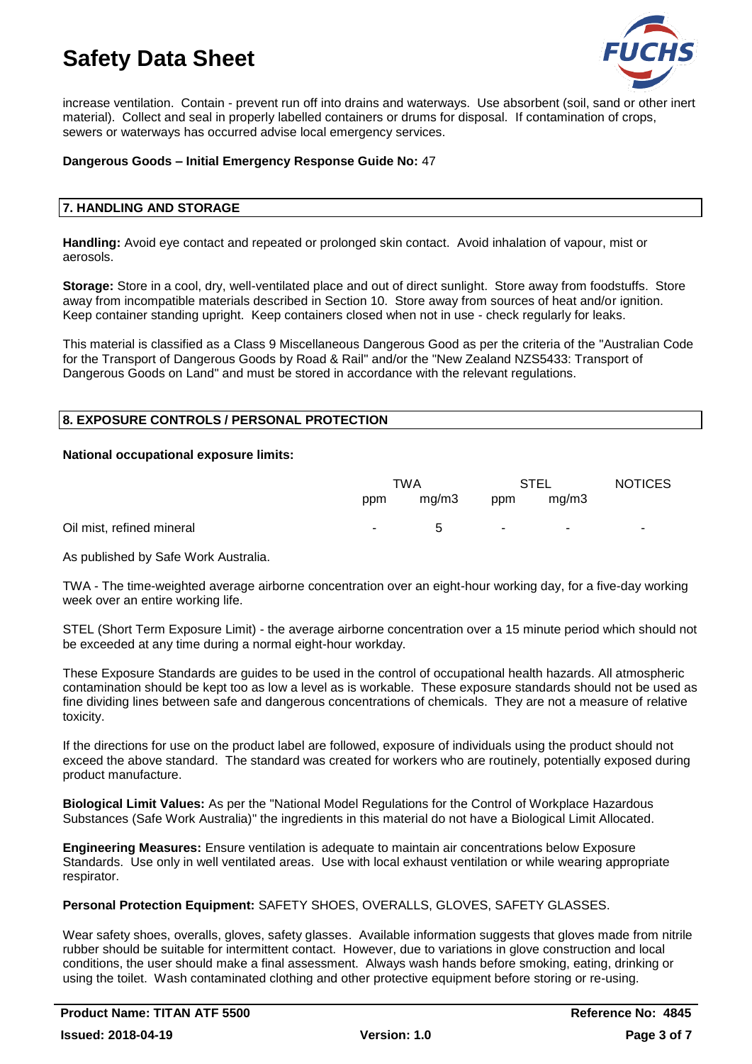

increase ventilation. Contain - prevent run off into drains and waterways. Use absorbent (soil, sand or other inert material). Collect and seal in properly labelled containers or drums for disposal. If contamination of crops, sewers or waterways has occurred advise local emergency services.

## **Dangerous Goods – Initial Emergency Response Guide No:** 47

#### **7. HANDLING AND STORAGE**

**Handling:** Avoid eye contact and repeated or prolonged skin contact. Avoid inhalation of vapour, mist or aerosols.

**Storage:** Store in a cool, dry, well-ventilated place and out of direct sunlight. Store away from foodstuffs. Store away from incompatible materials described in Section 10. Store away from sources of heat and/or ignition. Keep container standing upright. Keep containers closed when not in use - check regularly for leaks.

This material is classified as a Class 9 Miscellaneous Dangerous Good as per the criteria of the "Australian Code for the Transport of Dangerous Goods by Road & Rail" and/or the "New Zealand NZS5433: Transport of Dangerous Goods on Land" and must be stored in accordance with the relevant regulations.

## **8. EXPOSURE CONTROLS / PERSONAL PROTECTION**

#### **National occupational exposure limits:**

|                           | TWA |       | STEL |                          | <b>NOTICES</b> |
|---------------------------|-----|-------|------|--------------------------|----------------|
|                           | ppm | mq/m3 | ppm  | mq/m3                    |                |
| Oil mist, refined mineral | н.  | 5     |      | $\overline{\phantom{0}}$ |                |

As published by Safe Work Australia.

TWA - The time-weighted average airborne concentration over an eight-hour working day, for a five-day working week over an entire working life.

STEL (Short Term Exposure Limit) - the average airborne concentration over a 15 minute period which should not be exceeded at any time during a normal eight-hour workday.

These Exposure Standards are guides to be used in the control of occupational health hazards. All atmospheric contamination should be kept too as low a level as is workable. These exposure standards should not be used as fine dividing lines between safe and dangerous concentrations of chemicals. They are not a measure of relative toxicity.

If the directions for use on the product label are followed, exposure of individuals using the product should not exceed the above standard. The standard was created for workers who are routinely, potentially exposed during product manufacture.

**Biological Limit Values:** As per the "National Model Regulations for the Control of Workplace Hazardous Substances (Safe Work Australia)" the ingredients in this material do not have a Biological Limit Allocated.

**Engineering Measures:** Ensure ventilation is adequate to maintain air concentrations below Exposure Standards. Use only in well ventilated areas. Use with local exhaust ventilation or while wearing appropriate respirator.

## **Personal Protection Equipment:** SAFETY SHOES, OVERALLS, GLOVES, SAFETY GLASSES.

Wear safety shoes, overalls, gloves, safety glasses. Available information suggests that gloves made from nitrile rubber should be suitable for intermittent contact. However, due to variations in glove construction and local conditions, the user should make a final assessment. Always wash hands before smoking, eating, drinking or using the toilet. Wash contaminated clothing and other protective equipment before storing or re-using.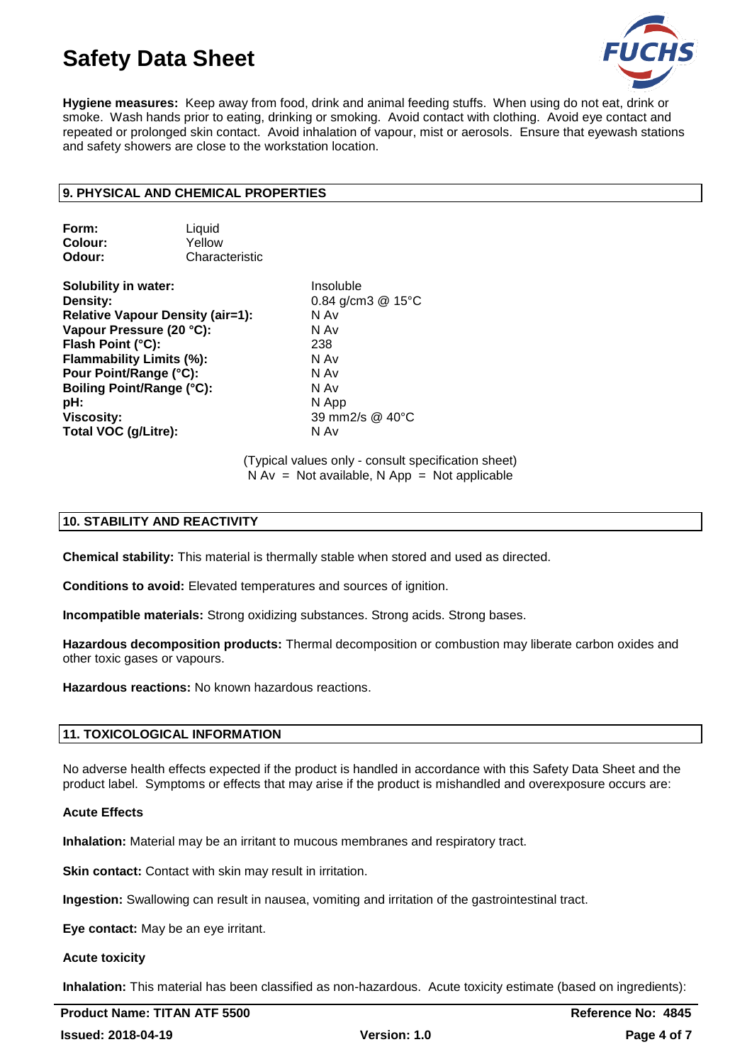

**Hygiene measures:** Keep away from food, drink and animal feeding stuffs. When using do not eat, drink or smoke. Wash hands prior to eating, drinking or smoking. Avoid contact with clothing. Avoid eye contact and repeated or prolonged skin contact. Avoid inhalation of vapour, mist or aerosols. Ensure that eyewash stations and safety showers are close to the workstation location.

## **9. PHYSICAL AND CHEMICAL PROPERTIES**

| Form:   | Liquid         |
|---------|----------------|
| Colour: | Yellow         |
| Odour:  | Characteristic |

**Solubility in water:** Insoluble **Density:** 0.84 g/cm3 @ 15°C **Relative Vapour Density (air=1):** N Av **Vapour Pressure (20 °C):** N Av **Flash Point (°C):** 238 **Flammability Limits (%):** N Av **Pour Point/Range (°C):** N Av **Boiling Point/Range (°C):** N Av **pH:** N App **Viscosity:** 39 mm2/s @ 40°C **Total VOC (g/Litre):** N Av

(Typical values only - consult specification sheet)  $N Av = Not available, N App = Not applicable$ 

## **10. STABILITY AND REACTIVITY**

**Chemical stability:** This material is thermally stable when stored and used as directed.

**Conditions to avoid:** Elevated temperatures and sources of ignition.

**Incompatible materials:** Strong oxidizing substances. Strong acids. Strong bases.

**Hazardous decomposition products:** Thermal decomposition or combustion may liberate carbon oxides and other toxic gases or vapours.

**Hazardous reactions:** No known hazardous reactions.

## **11. TOXICOLOGICAL INFORMATION**

No adverse health effects expected if the product is handled in accordance with this Safety Data Sheet and the product label. Symptoms or effects that may arise if the product is mishandled and overexposure occurs are:

#### **Acute Effects**

**Inhalation:** Material may be an irritant to mucous membranes and respiratory tract.

**Skin contact:** Contact with skin may result in irritation.

**Ingestion:** Swallowing can result in nausea, vomiting and irritation of the gastrointestinal tract.

**Eye contact:** May be an eye irritant.

#### **Acute toxicity**

**Inhalation:** This material has been classified as non-hazardous. Acute toxicity estimate (based on ingredients):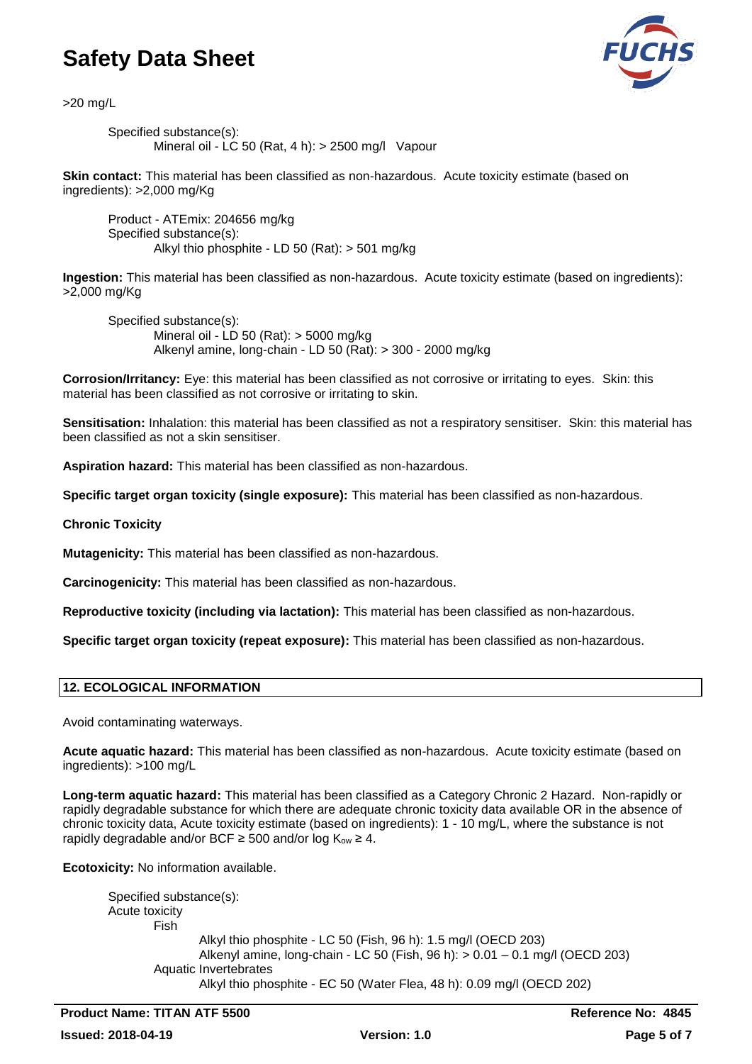

>20 mg/L

Specified substance(s): Mineral oil -  $\overline{LC}$  50 (Rat, 4 h):  $>$  2500 mg/l Vapour

**Skin contact:** This material has been classified as non-hazardous. Acute toxicity estimate (based on ingredients): >2,000 mg/Kg

Product - ATEmix: 204656 mg/kg Specified substance(s): Alkyl thio phosphite - LD 50 (Rat): > 501 mg/kg

**Ingestion:** This material has been classified as non-hazardous. Acute toxicity estimate (based on ingredients): >2,000 mg/Kg

Specified substance(s): Mineral oil - LD 50 (Rat): > 5000 mg/kg Alkenyl amine, long-chain - LD 50 (Rat): > 300 - 2000 mg/kg

**Corrosion/Irritancy:** Eye: this material has been classified as not corrosive or irritating to eyes. Skin: this material has been classified as not corrosive or irritating to skin.

**Sensitisation:** Inhalation: this material has been classified as not a respiratory sensitiser. Skin: this material has been classified as not a skin sensitiser.

**Aspiration hazard:** This material has been classified as non-hazardous.

**Specific target organ toxicity (single exposure):** This material has been classified as non-hazardous.

**Chronic Toxicity**

**Mutagenicity:** This material has been classified as non-hazardous.

**Carcinogenicity:** This material has been classified as non-hazardous.

**Reproductive toxicity (including via lactation):** This material has been classified as non-hazardous.

**Specific target organ toxicity (repeat exposure):** This material has been classified as non-hazardous.

## **12. ECOLOGICAL INFORMATION**

Avoid contaminating waterways.

**Acute aquatic hazard:** This material has been classified as non-hazardous. Acute toxicity estimate (based on ingredients): >100 mg/L

**Long-term aquatic hazard:** This material has been classified as a Category Chronic 2 Hazard. Non-rapidly or rapidly degradable substance for which there are adequate chronic toxicity data available OR in the absence of chronic toxicity data, Acute toxicity estimate (based on ingredients): 1 - 10 mg/L, where the substance is not rapidly degradable and/or BCF  $\geq$  500 and/or log K<sub>ow</sub>  $\geq$  4.

**Ecotoxicity:** No information available.

| Specified substance(s): |                                                                                |
|-------------------------|--------------------------------------------------------------------------------|
| Acute toxicity          |                                                                                |
| Fish                    |                                                                                |
|                         | Alkyl thio phosphite - LC 50 (Fish, 96 h): 1.5 mg/l (OECD 203)                 |
|                         | Alkenyl amine, long-chain - LC 50 (Fish, 96 h): $> 0.01 - 0.1$ mg/l (OECD 203) |
|                         | Aquatic Invertebrates                                                          |
|                         | Alkyl thio phosphite - EC 50 (Water Flea, 48 h): 0.09 mg/l (OECD 202)          |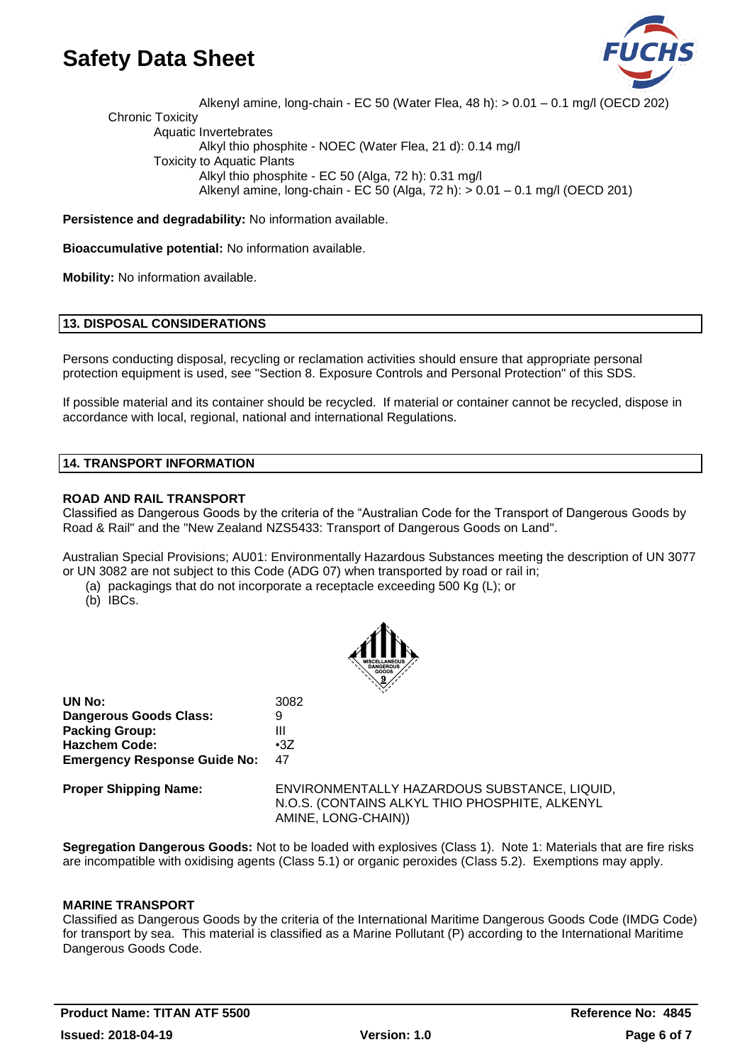

Alkenyl amine, long-chain - EC 50 (Water Flea, 48 h): > 0.01 – 0.1 mg/l (OECD 202) Chronic Toxicity Aquatic Invertebrates Alkyl thio phosphite - NOEC (Water Flea, 21 d): 0.14 mg/l Toxicity to Aquatic Plants Alkyl thio phosphite - EC 50 (Alga, 72 h): 0.31 mg/l Alkenyl amine, long-chain - EC 50 (Alga, 72 h): > 0.01 – 0.1 mg/l (OECD 201)

**Persistence and degradability:** No information available.

**Bioaccumulative potential:** No information available.

**Mobility:** No information available.

## **13. DISPOSAL CONSIDERATIONS**

Persons conducting disposal, recycling or reclamation activities should ensure that appropriate personal protection equipment is used, see "Section 8. Exposure Controls and Personal Protection" of this SDS.

If possible material and its container should be recycled. If material or container cannot be recycled, dispose in accordance with local, regional, national and international Regulations.

## **14. TRANSPORT INFORMATION**

## **ROAD AND RAIL TRANSPORT**

Classified as Dangerous Goods by the criteria of the "Australian Code for the Transport of Dangerous Goods by Road & Rail" and the "New Zealand NZS5433: Transport of Dangerous Goods on Land".

Australian Special Provisions; AU01: Environmentally Hazardous Substances meeting the description of UN 3077 or UN 3082 are not subject to this Code (ADG 07) when transported by road or rail in;

- (a) packagings that do not incorporate a receptacle exceeding 500 Kg (L); or
- (b) IBCs.



| UN No:                              | 3082       |
|-------------------------------------|------------|
| Dangerous Goods Class:              | g          |
| <b>Packing Group:</b>               | Ш          |
| <b>Hazchem Code:</b>                | $\cdot 37$ |
| <b>Emergency Response Guide No:</b> | 47         |

**Proper Shipping Name:** ENVIRONMENTALLY HAZARDOUS SUBSTANCE, LIQUID, N.O.S. (CONTAINS ALKYL THIO PHOSPHITE, ALKENYL AMINE, LONG-CHAIN))

**Segregation Dangerous Goods:** Not to be loaded with explosives (Class 1). Note 1: Materials that are fire risks are incompatible with oxidising agents (Class 5.1) or organic peroxides (Class 5.2). Exemptions may apply.

## **MARINE TRANSPORT**

Classified as Dangerous Goods by the criteria of the International Maritime Dangerous Goods Code (IMDG Code) for transport by sea. This material is classified as a Marine Pollutant (P) according to the International Maritime Dangerous Goods Code.